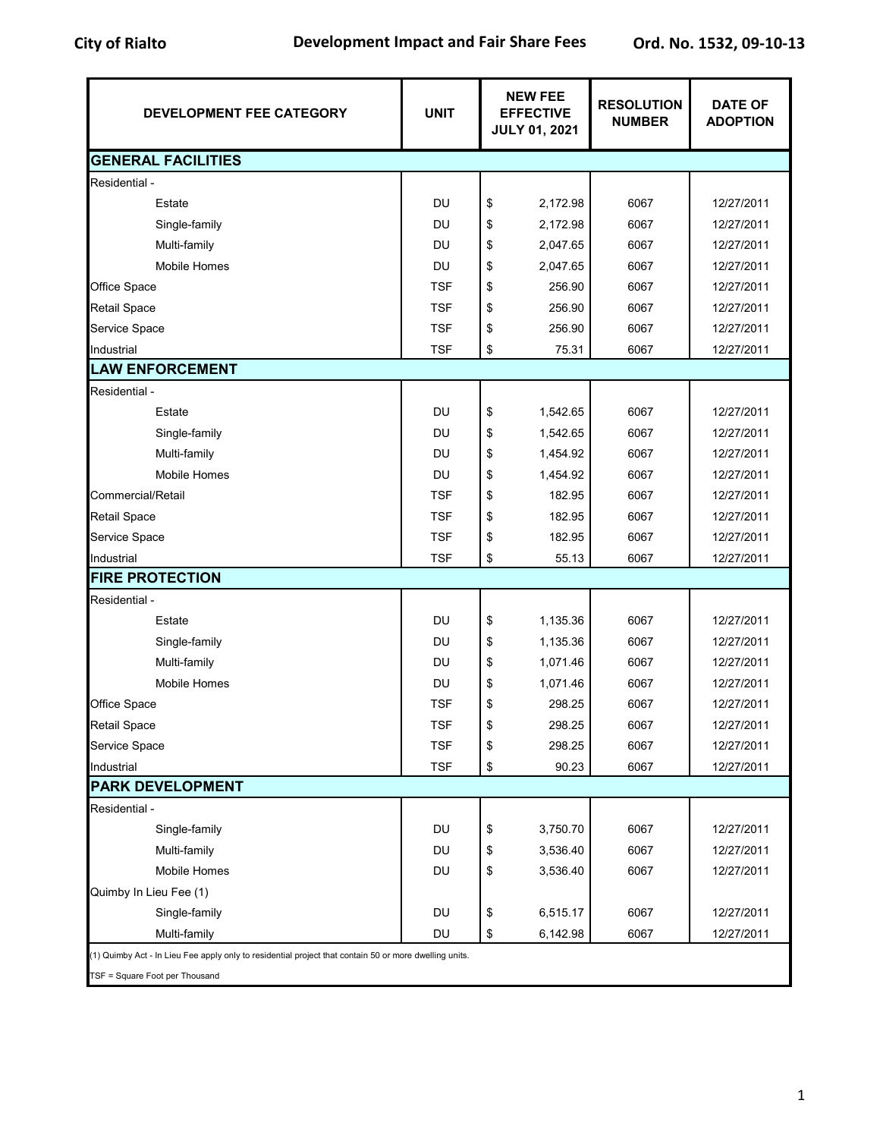| DEVELOPMENT FEE CATEGORY                                                                               | <b>UNIT</b> | <b>NEW FEE</b><br><b>EFFECTIVE</b><br><b>JULY 01, 2021</b> |          | <b>RESOLUTION</b><br><b>NUMBER</b> | <b>DATE OF</b><br><b>ADOPTION</b> |
|--------------------------------------------------------------------------------------------------------|-------------|------------------------------------------------------------|----------|------------------------------------|-----------------------------------|
| <b>GENERAL FACILITIES</b>                                                                              |             |                                                            |          |                                    |                                   |
| Residential -                                                                                          |             |                                                            |          |                                    |                                   |
| Estate                                                                                                 | DU          | \$                                                         | 2,172.98 | 6067                               | 12/27/2011                        |
| Single-family                                                                                          | DU          | \$                                                         | 2,172.98 | 6067                               | 12/27/2011                        |
| Multi-family                                                                                           | DU          | \$                                                         | 2,047.65 | 6067                               | 12/27/2011                        |
| <b>Mobile Homes</b>                                                                                    | <b>DU</b>   | \$                                                         | 2,047.65 | 6067                               | 12/27/2011                        |
| Office Space                                                                                           | TSF         | \$                                                         | 256.90   | 6067                               | 12/27/2011                        |
| <b>Retail Space</b>                                                                                    | <b>TSF</b>  | \$                                                         | 256.90   | 6067                               | 12/27/2011                        |
| Service Space                                                                                          | <b>TSF</b>  | \$                                                         | 256.90   | 6067                               | 12/27/2011                        |
| Industrial                                                                                             | <b>TSF</b>  | \$                                                         | 75.31    | 6067                               | 12/27/2011                        |
| <b>LAW ENFORCEMENT</b>                                                                                 |             |                                                            |          |                                    |                                   |
| Residential -                                                                                          |             |                                                            |          |                                    |                                   |
| Estate                                                                                                 | <b>DU</b>   | \$                                                         | 1,542.65 | 6067                               | 12/27/2011                        |
| Single-family                                                                                          | DU          | \$                                                         | 1,542.65 | 6067                               | 12/27/2011                        |
| Multi-family                                                                                           | <b>DU</b>   | \$                                                         | 1,454.92 | 6067                               | 12/27/2011                        |
| <b>Mobile Homes</b>                                                                                    | <b>DU</b>   | \$                                                         | 1,454.92 | 6067                               | 12/27/2011                        |
| Commercial/Retail                                                                                      | <b>TSF</b>  | \$                                                         | 182.95   | 6067                               | 12/27/2011                        |
| <b>Retail Space</b>                                                                                    | <b>TSF</b>  | \$                                                         | 182.95   | 6067                               | 12/27/2011                        |
| Service Space                                                                                          | <b>TSF</b>  | \$                                                         | 182.95   | 6067                               | 12/27/2011                        |
| Industrial                                                                                             | <b>TSF</b>  | \$                                                         | 55.13    | 6067                               | 12/27/2011                        |
| <b>FIRE PROTECTION</b>                                                                                 |             |                                                            |          |                                    |                                   |
| Residential -                                                                                          |             |                                                            |          |                                    |                                   |
| Estate                                                                                                 | DU          | \$                                                         | 1,135.36 | 6067                               | 12/27/2011                        |
| Single-family                                                                                          | DU          | \$                                                         | 1,135.36 | 6067                               | 12/27/2011                        |
| Multi-family                                                                                           | <b>DU</b>   | \$                                                         | 1,071.46 | 6067                               | 12/27/2011                        |
| <b>Mobile Homes</b>                                                                                    | DU          | \$                                                         | 1,071.46 | 6067                               | 12/27/2011                        |
| Office Space                                                                                           | <b>TSF</b>  | \$                                                         | 298.25   | 6067                               | 12/27/2011                        |
| Retail Space                                                                                           | <b>TSF</b>  | \$                                                         | 298.25   | 6067                               | 12/27/2011                        |
| Service Space                                                                                          | TSF         | \$                                                         | 298.25   | 6067                               | 12/27/2011                        |
| Industrial                                                                                             | <b>TSF</b>  | \$                                                         | 90.23    | 6067                               | 12/27/2011                        |
| <b>PARK DEVELOPMENT</b>                                                                                |             |                                                            |          |                                    |                                   |
| Residential -                                                                                          |             |                                                            |          |                                    |                                   |
| Single-family                                                                                          | DU          | \$                                                         | 3,750.70 | 6067                               | 12/27/2011                        |
| Multi-family                                                                                           | DU          | \$                                                         | 3,536.40 | 6067                               | 12/27/2011                        |
| Mobile Homes                                                                                           | DU          | \$                                                         | 3,536.40 | 6067                               | 12/27/2011                        |
| Quimby In Lieu Fee (1)                                                                                 |             |                                                            |          |                                    |                                   |
| Single-family                                                                                          | DU          | \$                                                         | 6,515.17 | 6067                               | 12/27/2011                        |
| Multi-family                                                                                           | DU          | \$                                                         | 6,142.98 | 6067                               | 12/27/2011                        |
| (1) Quimby Act - In Lieu Fee apply only to residential project that contain 50 or more dwelling units. |             |                                                            |          |                                    |                                   |
| TSF = Square Foot per Thousand                                                                         |             |                                                            |          |                                    |                                   |

1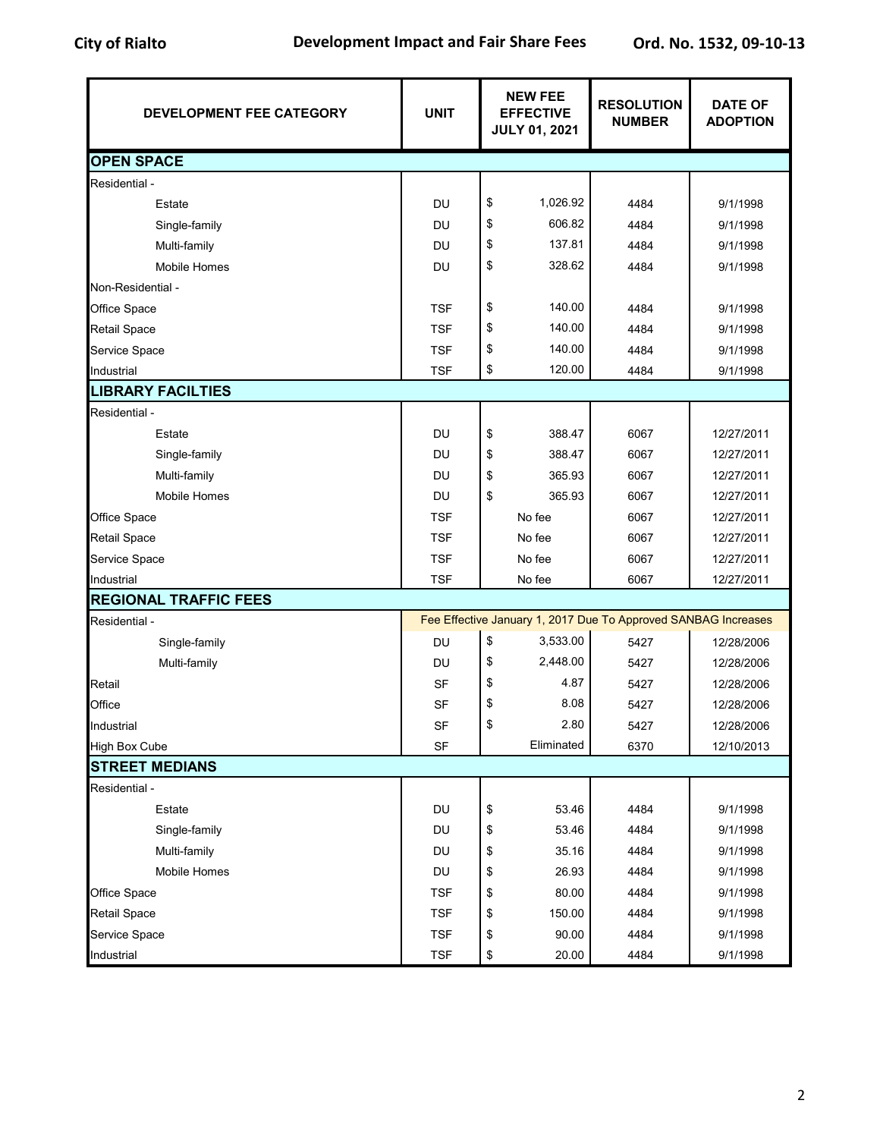| DEVELOPMENT FEE CATEGORY     | <b>UNIT</b> | <b>NEW FEE</b><br><b>EFFECTIVE</b><br><b>JULY 01, 2021</b> |            | <b>RESOLUTION</b><br><b>NUMBER</b>                             | <b>DATE OF</b><br><b>ADOPTION</b> |  |
|------------------------------|-------------|------------------------------------------------------------|------------|----------------------------------------------------------------|-----------------------------------|--|
| <b>OPEN SPACE</b>            |             |                                                            |            |                                                                |                                   |  |
| Residential -                |             |                                                            |            |                                                                |                                   |  |
| Estate                       | DU          | \$                                                         | 1,026.92   | 4484                                                           | 9/1/1998                          |  |
| Single-family                | <b>DU</b>   | \$                                                         | 606.82     | 4484                                                           | 9/1/1998                          |  |
| Multi-family                 | DU          | \$                                                         | 137.81     | 4484                                                           | 9/1/1998                          |  |
| <b>Mobile Homes</b>          | DU          | \$                                                         | 328.62     | 4484                                                           | 9/1/1998                          |  |
| Non-Residential -            |             |                                                            |            |                                                                |                                   |  |
| Office Space                 | <b>TSF</b>  | \$                                                         | 140.00     | 4484                                                           | 9/1/1998                          |  |
| <b>Retail Space</b>          | <b>TSF</b>  | \$                                                         | 140.00     | 4484                                                           | 9/1/1998                          |  |
| Service Space                | <b>TSF</b>  | \$                                                         | 140.00     | 4484                                                           | 9/1/1998                          |  |
| Industrial                   | <b>TSF</b>  | \$                                                         | 120.00     | 4484                                                           | 9/1/1998                          |  |
| <b>LIBRARY FACILTIES</b>     |             |                                                            |            |                                                                |                                   |  |
| Residential -                |             |                                                            |            |                                                                |                                   |  |
| Estate                       | DU          | \$                                                         | 388.47     | 6067                                                           | 12/27/2011                        |  |
| Single-family                | <b>DU</b>   | \$                                                         | 388.47     | 6067                                                           | 12/27/2011                        |  |
| Multi-family                 | <b>DU</b>   | \$                                                         | 365.93     | 6067                                                           | 12/27/2011                        |  |
| Mobile Homes                 | DU          | \$                                                         | 365.93     | 6067                                                           | 12/27/2011                        |  |
| Office Space                 | <b>TSF</b>  |                                                            | No fee     | 6067                                                           | 12/27/2011                        |  |
| <b>Retail Space</b>          | <b>TSF</b>  |                                                            | No fee     | 6067                                                           | 12/27/2011                        |  |
| Service Space                | <b>TSF</b>  |                                                            | No fee     | 6067                                                           | 12/27/2011                        |  |
| Industrial                   | <b>TSF</b>  |                                                            | No fee     | 6067                                                           | 12/27/2011                        |  |
| <b>REGIONAL TRAFFIC FEES</b> |             |                                                            |            |                                                                |                                   |  |
| Residential -                |             |                                                            |            | Fee Effective January 1, 2017 Due To Approved SANBAG Increases |                                   |  |
| Single-family                | DU          | \$                                                         | 3,533.00   | 5427                                                           | 12/28/2006                        |  |
| Multi-family                 | <b>DU</b>   | \$                                                         | 2,448.00   | 5427                                                           | 12/28/2006                        |  |
| Retail                       | <b>SF</b>   | \$                                                         | 4.87       | 5427                                                           | 12/28/2006                        |  |
| Office                       | <b>SF</b>   | \$                                                         | 8.08       | 5427                                                           | 12/28/2006                        |  |
| Industrial                   | SF          |                                                            | 2.80       | 5427                                                           | 12/28/2006                        |  |
| <b>High Box Cube</b>         | SF          |                                                            | Eliminated | 6370                                                           | 12/10/2013                        |  |
| <b>STREET MEDIANS</b>        |             |                                                            |            |                                                                |                                   |  |
| Residential -                |             |                                                            |            |                                                                |                                   |  |
| Estate                       | DU          | \$                                                         | 53.46      | 4484                                                           | 9/1/1998                          |  |
| Single-family                | DU          | \$                                                         | 53.46      | 4484                                                           | 9/1/1998                          |  |
| Multi-family                 | DU          | \$                                                         | 35.16      | 4484                                                           | 9/1/1998                          |  |
| Mobile Homes                 | DU          | \$                                                         | 26.93      | 4484                                                           | 9/1/1998                          |  |
| Office Space                 | <b>TSF</b>  | \$                                                         | 80.00      | 4484                                                           | 9/1/1998                          |  |
| <b>Retail Space</b>          | <b>TSF</b>  | \$                                                         | 150.00     | 4484                                                           | 9/1/1998                          |  |
| Service Space                | <b>TSF</b>  | \$                                                         | 90.00      | 4484                                                           | 9/1/1998                          |  |
| Industrial                   | <b>TSF</b>  | \$                                                         | 20.00      | 4484                                                           | 9/1/1998                          |  |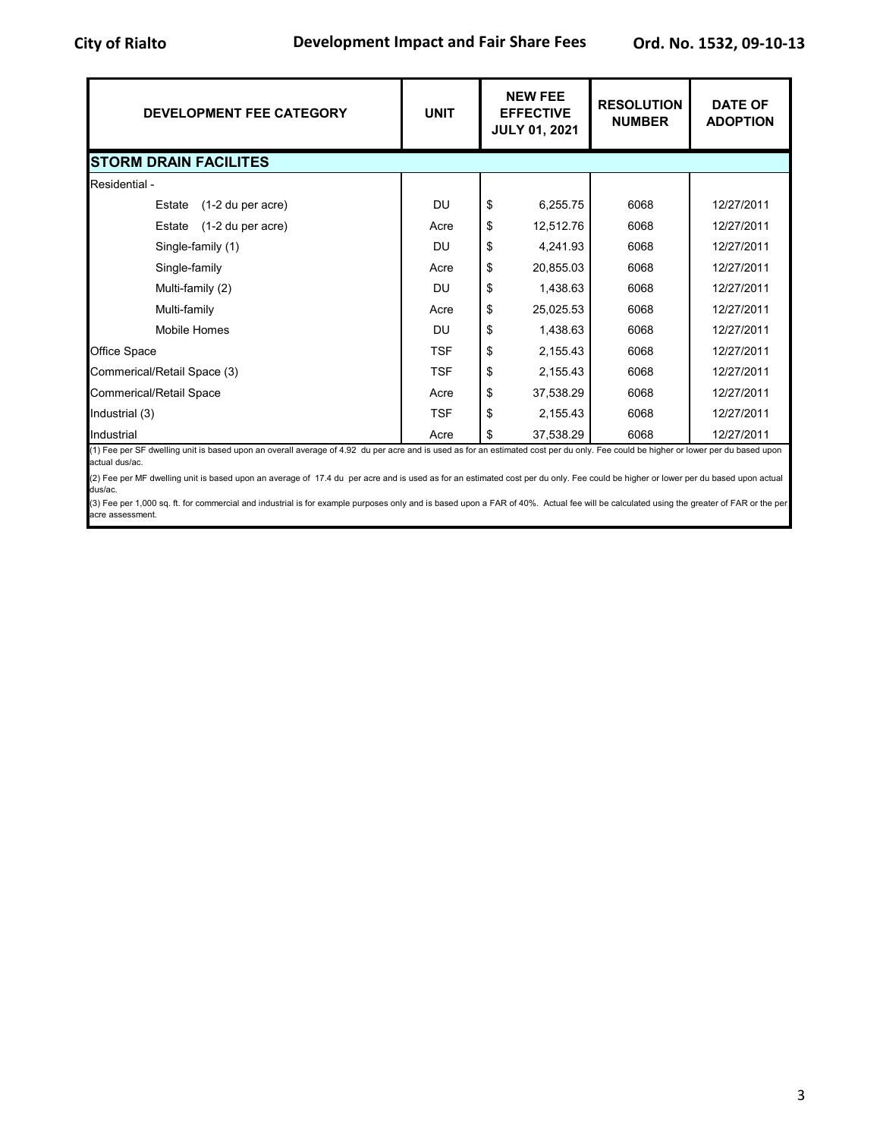| <b>DEVELOPMENT FEE CATEGORY</b> | <b>UNIT</b> | <b>NEW FEE</b><br><b>EFFECTIVE</b><br><b>JULY 01, 2021</b> | <b>RESOLUTION</b><br><b>NUMBER</b> | <b>DATE OF</b><br><b>ADOPTION</b> |
|---------------------------------|-------------|------------------------------------------------------------|------------------------------------|-----------------------------------|
| <b>STORM DRAIN FACILITES</b>    |             |                                                            |                                    |                                   |
| Residential -                   |             |                                                            |                                    |                                   |
| (1-2 du per acre)<br>Estate     | <b>DU</b>   | \$<br>6,255.75                                             | 6068                               | 12/27/2011                        |
| (1-2 du per acre)<br>Estate     | Acre        | \$<br>12,512.76                                            | 6068                               | 12/27/2011                        |
| Single-family (1)               | DU          | \$<br>4,241.93                                             | 6068                               | 12/27/2011                        |
| Single-family                   | Acre        | \$<br>20,855.03                                            | 6068                               | 12/27/2011                        |
| Multi-family (2)                | <b>DU</b>   | \$<br>1,438.63                                             | 6068                               | 12/27/2011                        |
| Multi-family                    | Acre        | \$<br>25,025.53                                            | 6068                               | 12/27/2011                        |
| <b>Mobile Homes</b>             | DU          | \$<br>1,438.63                                             | 6068                               | 12/27/2011                        |
| Office Space                    | <b>TSF</b>  | \$<br>2,155.43                                             | 6068                               | 12/27/2011                        |
| Commerical/Retail Space (3)     | <b>TSF</b>  | \$<br>2,155.43                                             | 6068                               | 12/27/2011                        |
| <b>Commerical/Retail Space</b>  | Acre        | \$<br>37,538.29                                            | 6068                               | 12/27/2011                        |
| Industrial (3)                  | <b>TSF</b>  | \$<br>2,155.43                                             | 6068                               | 12/27/2011                        |
| Industrial                      | Acre        | \$<br>37,538.29                                            | 6068                               | 12/27/2011                        |

(1) Fee per SF dwelling unit is based upon an overall average of 4.92 du per acre and is used as for an estimated cost per du only. Fee could be higher or lower per du based upon actual dus/ac.

(2) Fee per MF dwelling unit is based upon an average of 17.4 du per acre and is used as for an estimated cost per du only. Fee could be higher or lower per du based upon actual dus/ac.

(3) Fee per 1,000 sq. ft. for commercial and industrial is for example purposes only and is based upon a FAR of 40%. Actual fee will be calculated using the greater of FAR or the per acre assessment.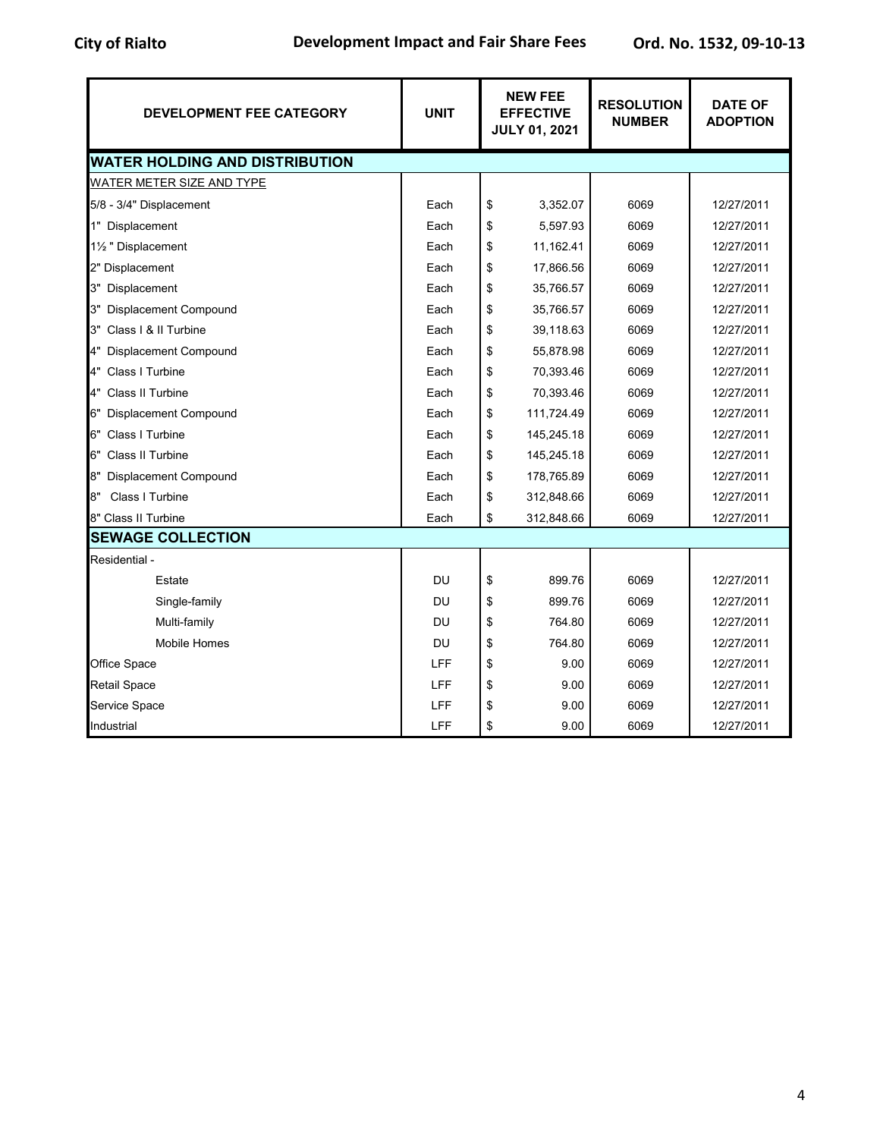| <b>DEVELOPMENT FEE CATEGORY</b>       | <b>UNIT</b> | <b>NEW FEE</b><br><b>EFFECTIVE</b><br><b>JULY 01, 2021</b> |            | <b>RESOLUTION</b><br><b>NUMBER</b> | <b>DATE OF</b><br><b>ADOPTION</b> |  |
|---------------------------------------|-------------|------------------------------------------------------------|------------|------------------------------------|-----------------------------------|--|
| <b>WATER HOLDING AND DISTRIBUTION</b> |             |                                                            |            |                                    |                                   |  |
| <b>WATER METER SIZE AND TYPE</b>      |             |                                                            |            |                                    |                                   |  |
| 5/8 - 3/4" Displacement               | Each        | \$                                                         | 3,352.07   | 6069                               | 12/27/2011                        |  |
| 1" Displacement                       | Each        | \$                                                         | 5,597.93   | 6069                               | 12/27/2011                        |  |
| 1½ " Displacement                     | Each        | \$                                                         | 11,162.41  | 6069                               | 12/27/2011                        |  |
| 2" Displacement                       | Each        | \$                                                         | 17,866.56  | 6069                               | 12/27/2011                        |  |
| 3" Displacement                       | Each        | \$                                                         | 35,766.57  | 6069                               | 12/27/2011                        |  |
| 3" Displacement Compound              | Each        | \$                                                         | 35,766.57  | 6069                               | 12/27/2011                        |  |
| 3" Class I & II Turbine               | Each        | \$                                                         | 39,118.63  | 6069                               | 12/27/2011                        |  |
| 4" Displacement Compound              | Each        | \$                                                         | 55,878.98  | 6069                               | 12/27/2011                        |  |
| 4" Class I Turbine                    | Each        | \$                                                         | 70,393.46  | 6069                               | 12/27/2011                        |  |
| 4" Class II Turbine                   | Each        | \$                                                         | 70,393.46  | 6069                               | 12/27/2011                        |  |
| 6" Displacement Compound              | Each        | \$                                                         | 111,724.49 | 6069                               | 12/27/2011                        |  |
| 6" Class I Turbine                    | Each        | \$                                                         | 145,245.18 | 6069                               | 12/27/2011                        |  |
| 6" Class II Turbine                   | Each        | \$                                                         | 145,245.18 | 6069                               | 12/27/2011                        |  |
| 8"<br><b>Displacement Compound</b>    | Each        | \$                                                         | 178,765.89 | 6069                               | 12/27/2011                        |  |
| Class I Turbine<br>8"                 | Each        | \$                                                         | 312,848.66 | 6069                               | 12/27/2011                        |  |
| 8" Class II Turbine                   | Each        | \$                                                         | 312,848.66 | 6069                               | 12/27/2011                        |  |
| <b>SEWAGE COLLECTION</b>              |             |                                                            |            |                                    |                                   |  |
| Residential -                         |             |                                                            |            |                                    |                                   |  |
| Estate                                | DU          | \$                                                         | 899.76     | 6069                               | 12/27/2011                        |  |
| Single-family                         | DU          | \$                                                         | 899.76     | 6069                               | 12/27/2011                        |  |
| Multi-family                          | DU          | \$                                                         | 764.80     | 6069                               | 12/27/2011                        |  |
| <b>Mobile Homes</b>                   | <b>DU</b>   | \$                                                         | 764.80     | 6069                               | 12/27/2011                        |  |
| Office Space                          | LFF         | \$                                                         | 9.00       | 6069                               | 12/27/2011                        |  |
| <b>Retail Space</b>                   | LFF         | \$                                                         | 9.00       | 6069                               | 12/27/2011                        |  |
| Service Space                         | LFF         | \$                                                         | 9.00       | 6069                               | 12/27/2011                        |  |
| Industrial                            | <b>LFF</b>  | \$                                                         | 9.00       | 6069                               | 12/27/2011                        |  |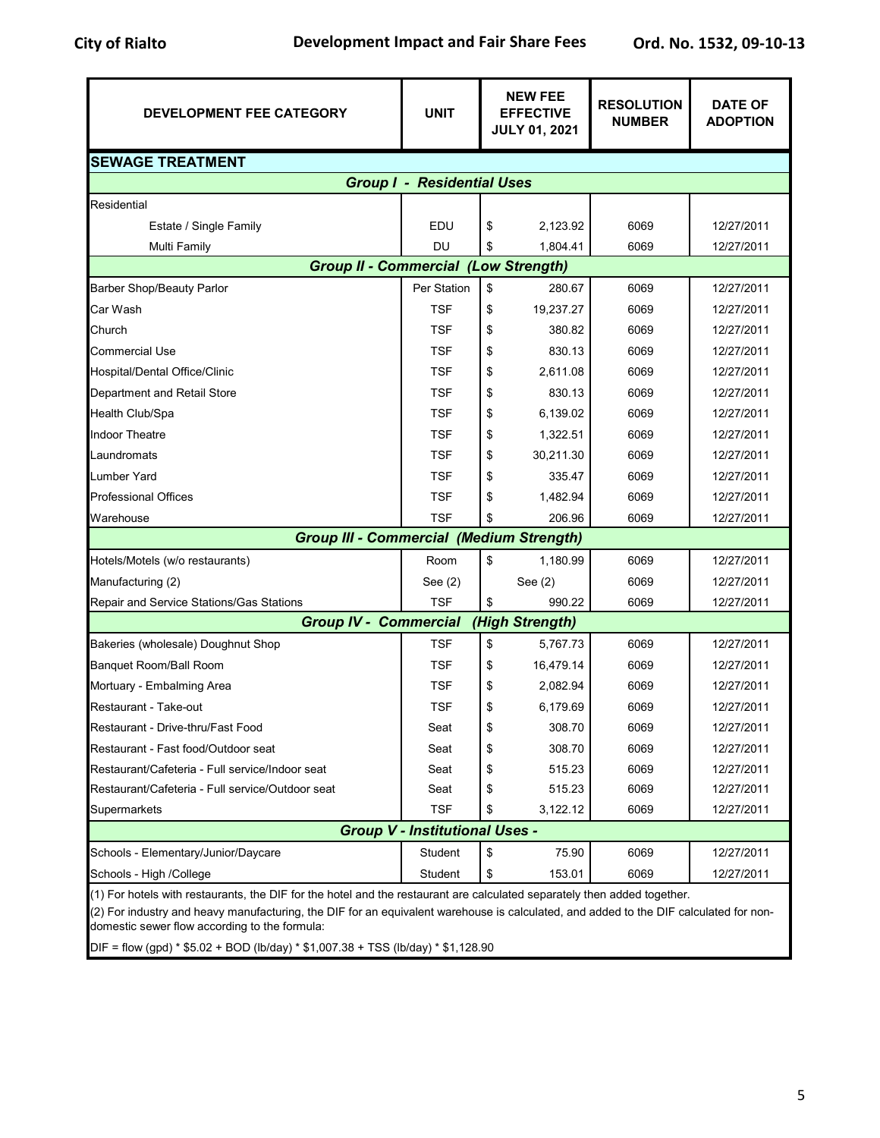| <b>DEVELOPMENT FEE CATEGORY</b>                                                                                                                                                                                                                                                                                    | <b>UNIT</b>                       |    | <b>NEW FEE</b><br><b>EFFECTIVE</b><br><b>JULY 01, 2021</b> | <b>RESOLUTION</b><br><b>NUMBER</b> | <b>DATE OF</b><br><b>ADOPTION</b> |  |  |
|--------------------------------------------------------------------------------------------------------------------------------------------------------------------------------------------------------------------------------------------------------------------------------------------------------------------|-----------------------------------|----|------------------------------------------------------------|------------------------------------|-----------------------------------|--|--|
| <b>SEWAGE TREATMENT</b>                                                                                                                                                                                                                                                                                            |                                   |    |                                                            |                                    |                                   |  |  |
|                                                                                                                                                                                                                                                                                                                    | <b>Group I - Residential Uses</b> |    |                                                            |                                    |                                   |  |  |
| Residential                                                                                                                                                                                                                                                                                                        |                                   |    |                                                            |                                    |                                   |  |  |
| Estate / Single Family                                                                                                                                                                                                                                                                                             | EDU                               | \$ | 2,123.92                                                   | 6069                               | 12/27/2011                        |  |  |
| Multi Family                                                                                                                                                                                                                                                                                                       | DU                                | \$ | 1,804.41                                                   | 6069                               | 12/27/2011                        |  |  |
| <b>Group II - Commercial</b>                                                                                                                                                                                                                                                                                       |                                   |    | (Low Strength)                                             |                                    |                                   |  |  |
| <b>Barber Shop/Beauty Parlor</b>                                                                                                                                                                                                                                                                                   | Per Station                       | \$ | 280.67                                                     | 6069                               | 12/27/2011                        |  |  |
| Car Wash                                                                                                                                                                                                                                                                                                           | <b>TSF</b>                        | \$ | 19,237.27                                                  | 6069                               | 12/27/2011                        |  |  |
| Church                                                                                                                                                                                                                                                                                                             | <b>TSF</b>                        | \$ | 380.82                                                     | 6069                               | 12/27/2011                        |  |  |
| Commercial Use                                                                                                                                                                                                                                                                                                     | <b>TSF</b>                        | \$ | 830.13                                                     | 6069                               | 12/27/2011                        |  |  |
| Hospital/Dental Office/Clinic                                                                                                                                                                                                                                                                                      | <b>TSF</b>                        | \$ | 2,611.08                                                   | 6069                               | 12/27/2011                        |  |  |
| Department and Retail Store                                                                                                                                                                                                                                                                                        | <b>TSF</b>                        | \$ | 830.13                                                     | 6069                               | 12/27/2011                        |  |  |
| <b>Health Club/Spa</b>                                                                                                                                                                                                                                                                                             | <b>TSF</b>                        | \$ | 6,139.02                                                   | 6069                               | 12/27/2011                        |  |  |
| <b>Indoor Theatre</b>                                                                                                                                                                                                                                                                                              | <b>TSF</b>                        | \$ | 1,322.51                                                   | 6069                               | 12/27/2011                        |  |  |
| Laundromats                                                                                                                                                                                                                                                                                                        | <b>TSF</b>                        | \$ | 30,211.30                                                  | 6069                               | 12/27/2011                        |  |  |
| <b>Lumber Yard</b>                                                                                                                                                                                                                                                                                                 | <b>TSF</b>                        | \$ | 335.47                                                     | 6069                               | 12/27/2011                        |  |  |
| <b>Professional Offices</b>                                                                                                                                                                                                                                                                                        | <b>TSF</b>                        | \$ | 1,482.94                                                   | 6069                               | 12/27/2011                        |  |  |
| Warehouse                                                                                                                                                                                                                                                                                                          | <b>TSF</b>                        |    | 206.96                                                     | 6069                               | 12/27/2011                        |  |  |
| <b>Group III - Commercial (Medium Strength)</b>                                                                                                                                                                                                                                                                    |                                   |    |                                                            |                                    |                                   |  |  |
| Hotels/Motels (w/o restaurants)                                                                                                                                                                                                                                                                                    | Room                              | \$ | 1,180.99                                                   | 6069                               | 12/27/2011                        |  |  |
| Manufacturing (2)                                                                                                                                                                                                                                                                                                  | See $(2)$                         |    | See $(2)$                                                  | 6069                               | 12/27/2011                        |  |  |
| Repair and Service Stations/Gas Stations                                                                                                                                                                                                                                                                           | <b>TSF</b>                        | \$ | 990.22                                                     | 6069                               | 12/27/2011                        |  |  |
| <b>Group IV - Commercial</b>                                                                                                                                                                                                                                                                                       |                                   |    | (High Strength)                                            |                                    |                                   |  |  |
| Bakeries (wholesale) Doughnut Shop                                                                                                                                                                                                                                                                                 | TSF                               | \$ | 5,767.73                                                   | 6069                               | 12/27/2011                        |  |  |
| Banquet Room/Ball Room                                                                                                                                                                                                                                                                                             | <b>TSF</b>                        | \$ | 16,479.14                                                  | 6069                               | 12/27/2011                        |  |  |
| Mortuary - Embalming Area                                                                                                                                                                                                                                                                                          | <b>TSF</b>                        | \$ | 2,082.94                                                   | 6069                               | 12/27/2011                        |  |  |
| Restaurant - Take-out                                                                                                                                                                                                                                                                                              | <b>TSF</b>                        | \$ | 6,179.69                                                   | 6069                               | 12/27/2011                        |  |  |
| Restaurant - Drive-thru/Fast Food                                                                                                                                                                                                                                                                                  | Seat                              | \$ | 308.70                                                     | 6069                               | 12/27/2011                        |  |  |
| Restaurant - Fast food/Outdoor seat                                                                                                                                                                                                                                                                                | Seat                              | \$ | 308.70                                                     | 6069                               | 12/27/2011                        |  |  |
| Restaurant/Cafeteria - Full service/Indoor seat                                                                                                                                                                                                                                                                    | Seat                              | \$ | 515.23                                                     | 6069                               | 12/27/2011                        |  |  |
| Restaurant/Cafeteria - Full service/Outdoor seat                                                                                                                                                                                                                                                                   | Seat                              | \$ | 515.23                                                     | 6069                               | 12/27/2011                        |  |  |
| Supermarkets                                                                                                                                                                                                                                                                                                       | <b>TSF</b>                        | \$ | 3,122.12                                                   | 6069                               | 12/27/2011                        |  |  |
| <b>Group V - Institutional Uses -</b>                                                                                                                                                                                                                                                                              |                                   |    |                                                            |                                    |                                   |  |  |
| Schools - Elementary/Junior/Daycare                                                                                                                                                                                                                                                                                | Student                           | \$ | 75.90                                                      | 6069                               | 12/27/2011                        |  |  |
| Schools - High /College                                                                                                                                                                                                                                                                                            | Student                           | \$ | 153.01                                                     | 6069                               | 12/27/2011                        |  |  |
| (1) For hotels with restaurants, the DIF for the hotel and the restaurant are calculated separately then added together.<br>(2) For industry and heavy manufacturing, the DIF for an equivalent warehouse is calculated, and added to the DIF calculated for non-<br>domestic sewer flow according to the formula: |                                   |    |                                                            |                                    |                                   |  |  |

DIF = flow (gpd) \* \$5.02 + BOD (lb/day) \* \$1,007.38 + TSS (lb/day) \* \$1,128.90